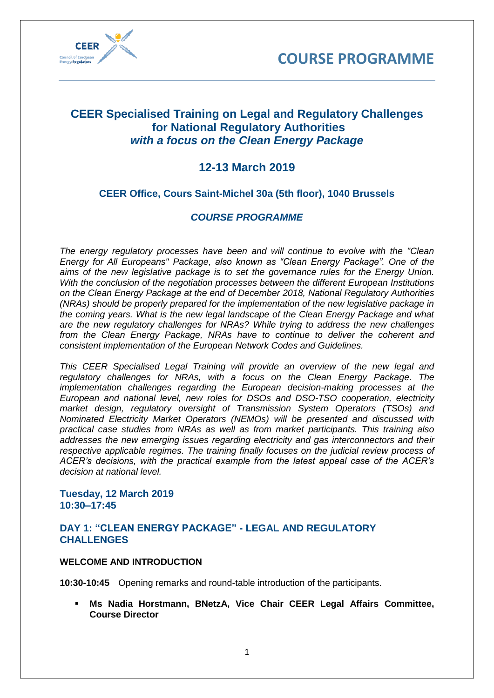



# **CEER Specialised Training on Legal and Regulatory Challenges for National Regulatory Authorities** *with a focus on the Clean Energy Package*

# **12-13 March 2019**

## **CEER Office, Cours Saint-Michel 30a (5th floor), 1040 Brussels**

## *COURSE PROGRAMME*

*The energy regulatory processes have been and will continue to evolve with the "Clean Energy for All Europeans" Package, also known as "Clean Energy Package". One of the aims of the new legislative package is to set the governance rules for the Energy Union. With the conclusion of the negotiation processes between the different European Institutions on the Clean Energy Package at the end of December 2018, National Regulatory Authorities (NRAs) should be properly prepared for the implementation of the new legislative package in the coming years. What is the new legal landscape of the Clean Energy Package and what are the new regulatory challenges for NRAs? While trying to address the new challenges from the Clean Energy Package, NRAs have to continue to deliver the coherent and consistent implementation of the European Network Codes and Guidelines.* 

*This CEER Specialised Legal Training will provide an overview of the new legal and regulatory challenges for NRAs, with a focus on the Clean Energy Package. The implementation challenges regarding the European decision-making processes at the European and national level, new roles for DSOs and DSO-TSO cooperation, electricity market design, regulatory oversight of Transmission System Operators (TSOs) and Nominated Electricity Market Operators (NEMOs) will be presented and discussed with practical case studies from NRAs as well as from market participants. This training also addresses the new emerging issues regarding electricity and gas interconnectors and their respective applicable regimes. The training finally focuses on the judicial review process of ACER's decisions, with the practical example from the latest appeal case of the ACER's decision at national level.* 

## **Tuesday, 12 March 2019 10:30–17:45**

## **DAY 1: "CLEAN ENERGY PACKAGE" - LEGAL AND REGULATORY CHALLENGES**

## **WELCOME AND INTRODUCTION**

**10:30-10:45** Opening remarks and round-table introduction of the participants.

**Ms Nadia Horstmann, BNetzA, Vice Chair CEER Legal Affairs Committee, Course Director**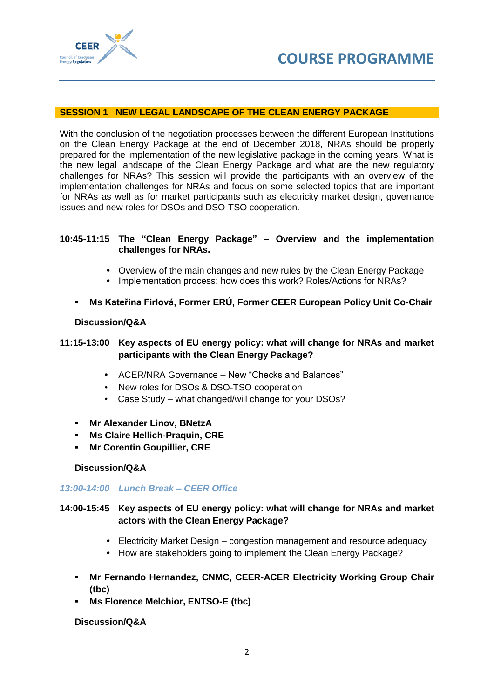

## **SESSION 1 NEW LEGAL LANDSCAPE OF THE CLEAN ENERGY PACKAGE**

With the conclusion of the negotiation processes between the different European Institutions on the Clean Energy Package at the end of December 2018, NRAs should be properly prepared for the implementation of the new legislative package in the coming years. What is the new legal landscape of the Clean Energy Package and what are the new regulatory challenges for NRAs? This session will provide the participants with an overview of the implementation challenges for NRAs and focus on some selected topics that are important for NRAs as well as for market participants such as electricity market design, governance issues and new roles for DSOs and DSO-TSO cooperation.

## **10:45-11:15 The "Clean Energy Package" – Overview and the implementation challenges for NRAs.**

- **•** Overview of the main changes and new rules by the Clean Energy Package
- **•** Implementation process: how does this work? Roles/Actions for NRAs?
- **Ms Kateřina Firlová, Former ERÚ, Former CEER European Policy Unit Co-Chair**

## **Discussion/Q&A**

## **11:15-13:00 Key aspects of EU energy policy: what will change for NRAs and market participants with the Clean Energy Package?**

- **•** ACER/NRA Governance New "Checks and Balances"
- New roles for DSOs & DSO-TSO cooperation
- Case Study what changed/will change for your DSOs?
- **Mr Alexander Linov, BNetzA**
- **Ms Claire Hellich-Praquin, CRE**
- **Mr Corentin Goupillier, CRE**

## **Discussion/Q&A**

## *13:00-14:00 Lunch Break – CEER Office*

**14:00-15:45 Key aspects of EU energy policy: what will change for NRAs and market actors with the Clean Energy Package?**

- **•** Electricity Market Design congestion management and resource adequacy
- **•** How are stakeholders going to implement the Clean Energy Package?
- **Mr Fernando Hernandez, CNMC, CEER-ACER Electricity Working Group Chair (tbc)**
- **Ms Florence Melchior, ENTSO-E (tbc)**

## **Discussion/Q&A**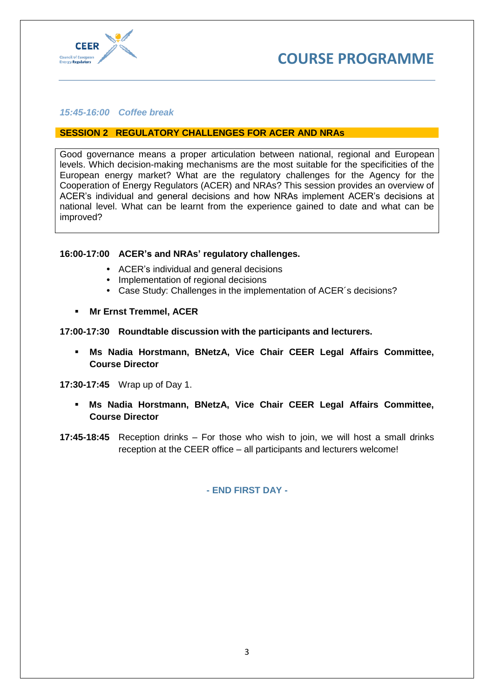

#### *15:45-16:00 Coffee break*

#### **SESSION 2 REGULATORY CHALLENGES FOR ACER AND NRAs**

Good governance means a proper articulation between national, regional and European levels. Which decision-making mechanisms are the most suitable for the specificities of the European energy market? What are the regulatory challenges for the Agency for the Cooperation of Energy Regulators (ACER) and NRAs? This session provides an overview of ACER's individual and general decisions and how NRAs implement ACER's decisions at national level. What can be learnt from the experience gained to date and what can be improved?

#### **16:00-17:00 ACER's and NRAs' regulatory challenges.**

- **•** ACER's individual and general decisions
- **•** Implementation of regional decisions
- **•** Case Study: Challenges in the implementation of ACER´s decisions?
- **Mr Ernst Tremmel, ACER**

#### **17:00-17:30 Roundtable discussion with the participants and lecturers.**

**Ms Nadia Horstmann, BNetzA, Vice Chair CEER Legal Affairs Committee, Course Director**

**17:30-17:45** Wrap up of Day 1.

- **Ms Nadia Horstmann, BNetzA, Vice Chair CEER Legal Affairs Committee, Course Director**
- **17:45-18:45** Reception drinks For those who wish to join, we will host a small drinks reception at the CEER office – all participants and lecturers welcome!

**- END FIRST DAY -**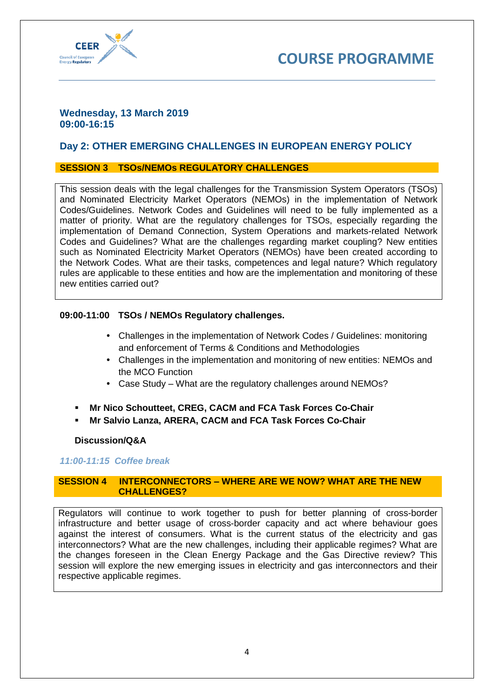

## **Wednesday, 13 March 2019 09:00-16:15**

## **Day 2: OTHER EMERGING CHALLENGES IN EUROPEAN ENERGY POLICY**

## **SESSION 3 TSOs/NEMOs REGULATORY CHALLENGES**

This session deals with the legal challenges for the Transmission System Operators (TSOs) and Nominated Electricity Market Operators (NEMOs) in the implementation of Network Codes/Guidelines. Network Codes and Guidelines will need to be fully implemented as a matter of priority. What are the regulatory challenges for TSOs, especially regarding the implementation of Demand Connection, System Operations and markets-related Network Codes and Guidelines? What are the challenges regarding market coupling? New entities such as Nominated Electricity Market Operators (NEMOs) have been created according to the Network Codes. What are their tasks, competences and legal nature? Which regulatory rules are applicable to these entities and how are the implementation and monitoring of these new entities carried out?

## **09:00-11:00 TSOs / NEMOs Regulatory challenges.**

- **•** Challenges in the implementation of Network Codes / Guidelines: monitoring and enforcement of Terms & Conditions and Methodologies
- **•** Challenges in the implementation and monitoring of new entities: NEMOs and the MCO Function
- **•** Case Study What are the regulatory challenges around NEMOs?
- **Mr Nico Schoutteet, CREG, CACM and FCA Task Forces Co-Chair**
- **Mr Salvio Lanza, ARERA, CACM and FCA Task Forces Co-Chair**

## **Discussion/Q&A**

## *11:00-11:15 Coffee break*

#### **SESSION 4 INTERCONNECTORS – WHERE ARE WE NOW? WHAT ARE THE NEW CHALLENGES?**

Regulators will continue to work together to push for better planning of cross-border infrastructure and better usage of cross-border capacity and act where behaviour goes against the interest of consumers. What is the current status of the electricity and gas interconnectors? What are the new challenges, including their applicable regimes? What are the changes foreseen in the Clean Energy Package and the Gas Directive review? This session will explore the new emerging issues in electricity and gas interconnectors and their respective applicable regimes.